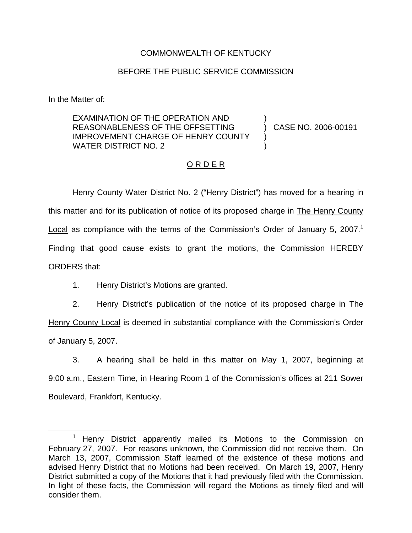## COMMONWEALTH OF KENTUCKY

## BEFORE THE PUBLIC SERVICE COMMISSION

In the Matter of:

EXAMINATION OF THE OPERATION AND REASONABLENESS OF THE OFFSETTING IMPROVEMENT CHARGE OF HENRY COUNTY WATER DISTRICT NO. 2 ) ) CASE NO. 2006-00191 ) )

## O R D E R

Henry County Water District No. 2 ("Henry District") has moved for a hearing in this matter and for its publication of notice of its proposed charge in The Henry County Local as compliance with the terms of the Commission's Order of January 5, 2007.<sup>1</sup> Finding that good cause exists to grant the motions, the Commission HEREBY ORDERS that:

1. Henry District's Motions are granted.

2. Henry District's publication of the notice of its proposed charge in The Henry County Local is deemed in substantial compliance with the Commission's Order of January 5, 2007.

3. A hearing shall be held in this matter on May 1, 2007, beginning at 9:00 a.m., Eastern Time, in Hearing Room 1 of the Commission's offices at 211 Sower Boulevard, Frankfort, Kentucky.

Henry District apparently mailed its Motions to the Commission on February 27, 2007. For reasons unknown, the Commission did not receive them. On March 13, 2007, Commission Staff learned of the existence of these motions and advised Henry District that no Motions had been received. On March 19, 2007, Henry District submitted a copy of the Motions that it had previously filed with the Commission. In light of these facts, the Commission will regard the Motions as timely filed and will consider them.